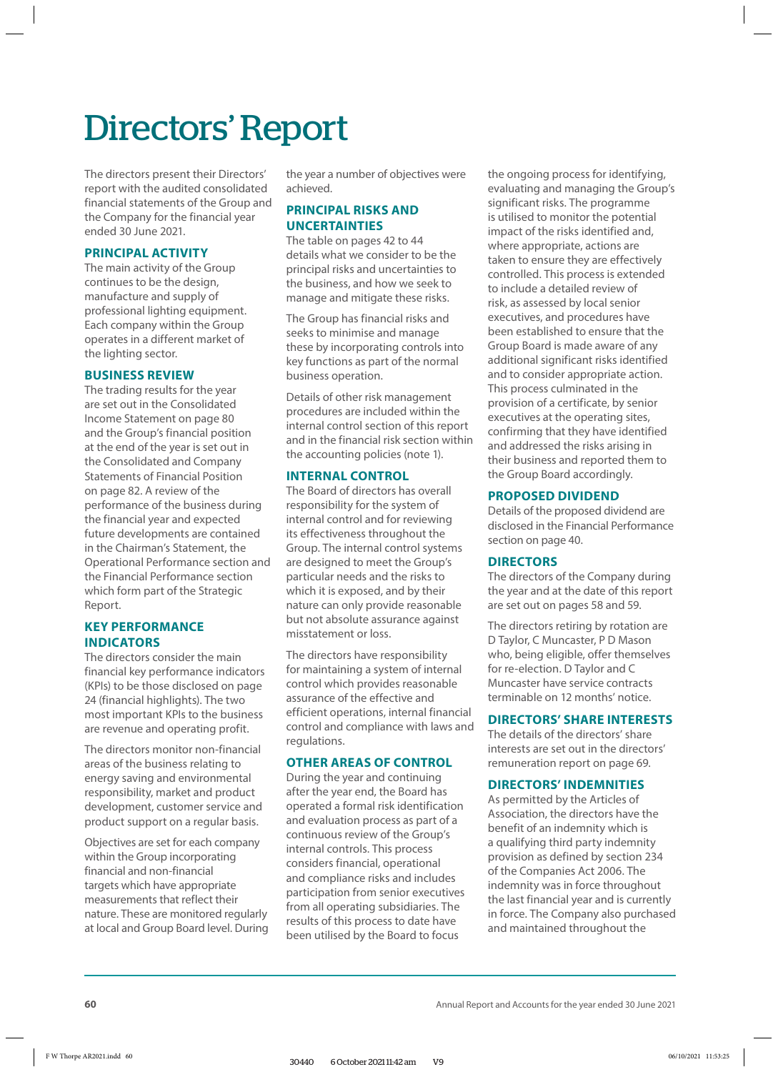# Directors' Report

The directors present their Directors' report with the audited consolidated financial statements of the Group and the Company for the financial year ended 30 June 2021.

## **PRINCIPAL ACTIVITY**

The main activity of the Group continues to be the design, manufacture and supply of professional lighting equipment. Each company within the Group operates in a different market of the lighting sector.

## **BUSINESS REVIEW**

The trading results for the year are set out in the Consolidated Income Statement on page 80 and the Group's financial position at the end of the year is set out in the Consolidated and Company Statements of Financial Position on page 82. A review of the performance of the business during the financial year and expected future developments are contained in the Chairman's Statement, the Operational Performance section and the Financial Performance section which form part of the Strategic Report.

## **KEY PERFORMANCE INDICATORS**

The directors consider the main financial key performance indicators (KPIs) to be those disclosed on page 24 (financial highlights). The two most important KPIs to the business are revenue and operating profit.

The directors monitor non-financial areas of the business relating to energy saving and environmental responsibility, market and product development, customer service and product support on a regular basis.

Objectives are set for each company within the Group incorporating financial and non-financial targets which have appropriate measurements that reflect their nature. These are monitored regularly at local and Group Board level. During the year a number of objectives were achieved.

## **PRINCIPAL RISKS AND UNCERTAINTIES**

The table on pages 42 to 44 details what we consider to be the principal risks and uncertainties to the business, and how we seek to manage and mitigate these risks.

The Group has financial risks and seeks to minimise and manage these by incorporating controls into key functions as part of the normal business operation.

Details of other risk management procedures are included within the internal control section of this report and in the financial risk section within the accounting policies (note 1).

## **INTERNAL CONTROL**

The Board of directors has overall responsibility for the system of internal control and for reviewing its effectiveness throughout the Group. The internal control systems are designed to meet the Group's particular needs and the risks to which it is exposed, and by their nature can only provide reasonable but not absolute assurance against misstatement or loss.

The directors have responsibility for maintaining a system of internal control which provides reasonable assurance of the effective and efficient operations, internal financial control and compliance with laws and regulations.

## **OTHER AREAS OF CONTROL**

During the year and continuing after the year end, the Board has operated a formal risk identification and evaluation process as part of a continuous review of the Group's internal controls. This process considers financial, operational and compliance risks and includes participation from senior executives from all operating subsidiaries. The results of this process to date have been utilised by the Board to focus

the ongoing process for identifying, evaluating and managing the Group's significant risks. The programme is utilised to monitor the potential impact of the risks identified and, where appropriate, actions are taken to ensure they are effectively controlled. This process is extended to include a detailed review of risk, as assessed by local senior executives, and procedures have been established to ensure that the Group Board is made aware of any additional significant risks identified and to consider appropriate action. This process culminated in the provision of a certificate, by senior executives at the operating sites, confirming that they have identified and addressed the risks arising in their business and reported them to the Group Board accordingly.

## **PROPOSED DIVIDEND**

Details of the proposed dividend are disclosed in the Financial Performance section on page 40.

## **DIRECTORS**

The directors of the Company during the year and at the date of this report are set out on pages 58 and 59.

The directors retiring by rotation are D Taylor, C Muncaster, P D Mason who, being eligible, offer themselves for re-election. D Taylor and C Muncaster have service contracts terminable on 12 months' notice.

## **DIRECTORS' SHARE INTERESTS**

The details of the directors' share interests are set out in the directors' remuneration report on page 69.

## **DIRECTORS' INDEMNITIES**

As permitted by the Articles of Association, the directors have the benefit of an indemnity which is a qualifying third party indemnity provision as defined by section 234 of the Companies Act 2006. The indemnity was in force throughout the last financial year and is currently in force. The Company also purchased and maintained throughout the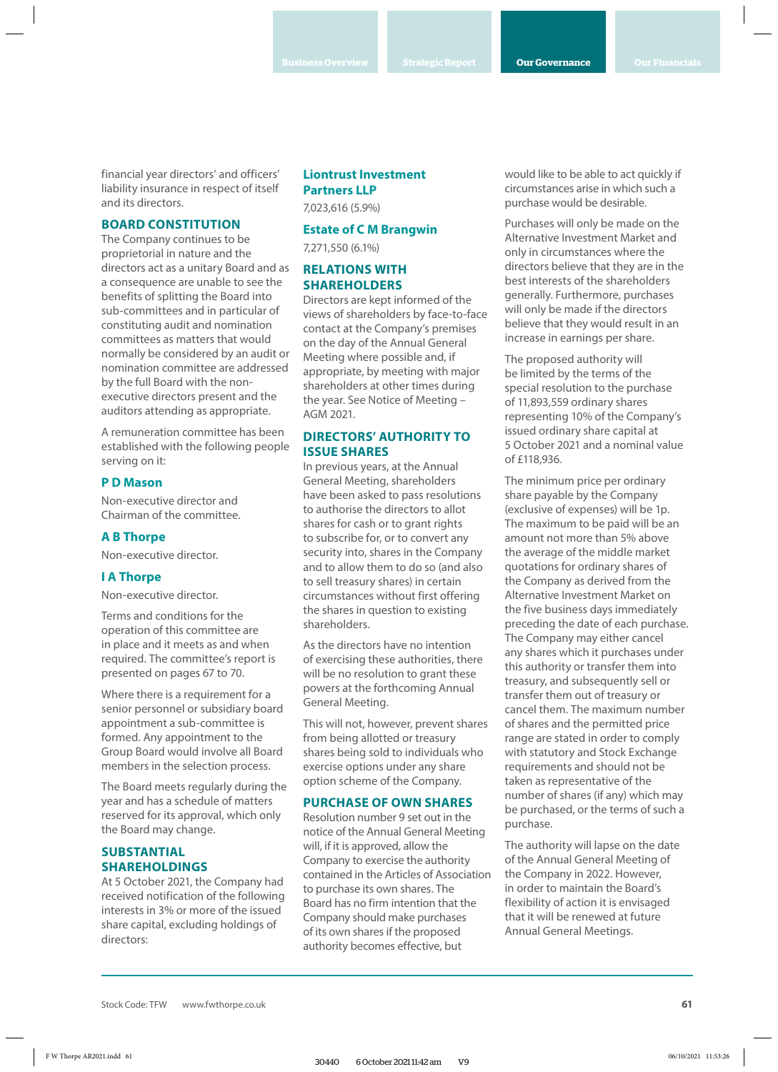financial year directors' and officers' liability insurance in respect of itself and its directors.

## **BOARD CONSTITUTION**

The Company continues to be proprietorial in nature and the directors act as a unitary Board and as a consequence are unable to see the benefits of splitting the Board into sub-committees and in particular of constituting audit and nomination committees as matters that would normally be considered by an audit or nomination committee are addressed by the full Board with the nonexecutive directors present and the auditors attending as appropriate.

A remuneration committee has been established with the following people serving on it:

### **P D Mason**

Non-executive director and Chairman of the committee.

### **A B Thorpe**

Non-executive director.

## **I A Thorpe**

Non-executive director.

Terms and conditions for the operation of this committee are in place and it meets as and when required. The committee's report is presented on pages 67 to 70.

Where there is a requirement for a senior personnel or subsidiary board appointment a sub-committee is formed. Any appointment to the Group Board would involve all Board members in the selection process.

The Board meets regularly during the year and has a schedule of matters reserved for its approval, which only the Board may change.

## **SUBSTANTIAL SHAREHOLDINGS**

At 5 October 2021, the Company had received notification of the following interests in 3% or more of the issued share capital, excluding holdings of directors:

## **Liontrust Investment Partners LLP**

7,023,616 (5.9%)

## **Estate of C M Brangwin**

7,271,550 (6.1%)

## **RELATIONS WITH SHAREHOLDERS**

Directors are kept informed of the views of shareholders by face-to-face contact at the Company's premises on the day of the Annual General Meeting where possible and, if appropriate, by meeting with major shareholders at other times during the year. See Notice of Meeting – AGM 2021.

## **DIRECTORS' AUTHORITY TO ISSUE SHARES**

In previous years, at the Annual General Meeting, shareholders have been asked to pass resolutions to authorise the directors to allot shares for cash or to grant rights to subscribe for, or to convert any security into, shares in the Company and to allow them to do so (and also to sell treasury shares) in certain circumstances without first offering the shares in question to existing shareholders.

As the directors have no intention of exercising these authorities, there will be no resolution to grant these powers at the forthcoming Annual General Meeting.

This will not, however, prevent shares from being allotted or treasury shares being sold to individuals who exercise options under any share option scheme of the Company.

#### **PURCHASE OF OWN SHARES**

Resolution number 9 set out in the notice of the Annual General Meeting will, if it is approved, allow the Company to exercise the authority contained in the Articles of Association to purchase its own shares. The Board has no firm intention that the Company should make purchases of its own shares if the proposed authority becomes effective, but

would like to be able to act quickly if circumstances arise in which such a purchase would be desirable.

Purchases will only be made on the Alternative Investment Market and only in circumstances where the directors believe that they are in the best interests of the shareholders generally. Furthermore, purchases will only be made if the directors believe that they would result in an increase in earnings per share.

The proposed authority will be limited by the terms of the special resolution to the purchase of 11,893,559 ordinary shares representing 10% of the Company's issued ordinary share capital at 5 October 2021 and a nominal value of £118,936.

The minimum price per ordinary share payable by the Company (exclusive of expenses) will be 1p. The maximum to be paid will be an amount not more than 5% above the average of the middle market quotations for ordinary shares of the Company as derived from the Alternative Investment Market on the five business days immediately preceding the date of each purchase. The Company may either cancel any shares which it purchases under this authority or transfer them into treasury, and subsequently sell or transfer them out of treasury or cancel them. The maximum number of shares and the permitted price range are stated in order to comply with statutory and Stock Exchange requirements and should not be taken as representative of the number of shares (if any) which may be purchased, or the terms of such a purchase.

The authority will lapse on the date of the Annual General Meeting of the Company in 2022. However, in order to maintain the Board's flexibility of action it is envisaged that it will be renewed at future Annual General Meetings.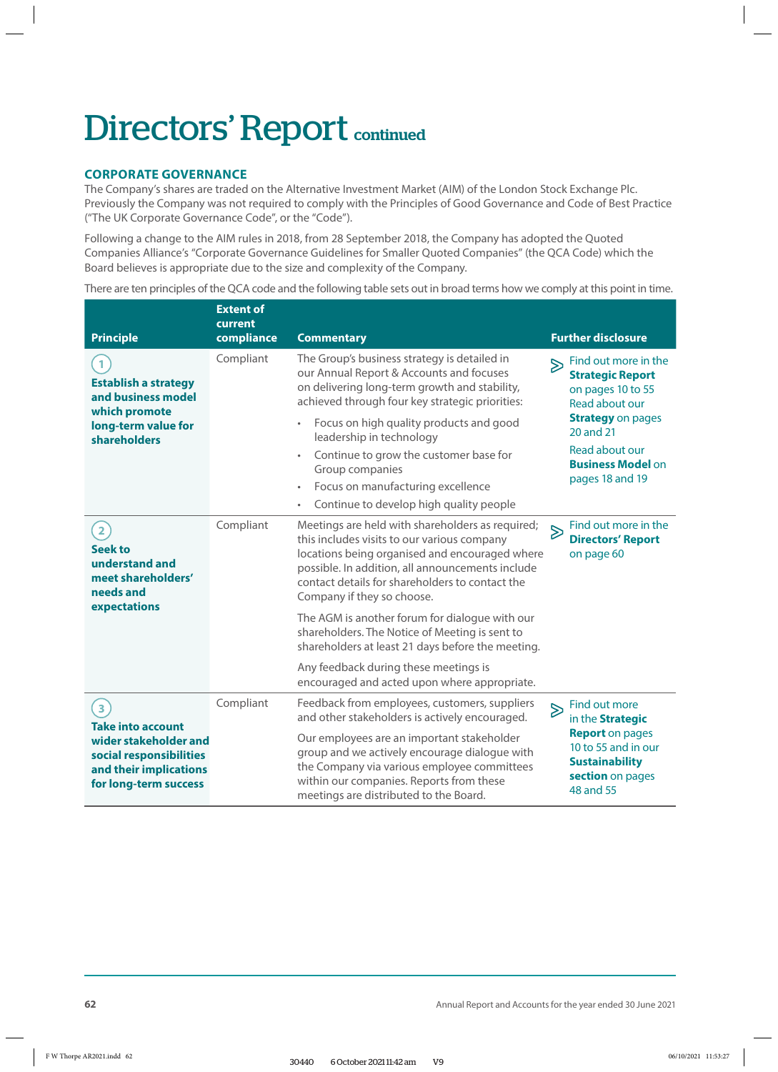# Directors' Report continued

## **CORPORATE GOVERNANCE**

The Company's shares are traded on the Alternative Investment Market (AIM) of the London Stock Exchange Plc. Previously the Company was not required to comply with the Principles of Good Governance and Code of Best Practice ("The UK Corporate Governance Code", or the "Code").

Following a change to the AIM rules in 2018, from 28 September 2018, the Company has adopted the Quoted Companies Alliance's "Corporate Governance Guidelines for Smaller Quoted Companies" (the QCA Code) which the Board believes is appropriate due to the size and complexity of the Company.

There are ten principles of the QCA code and the following table sets out in broad terms how we comply at this point in time.

| <b>Principle</b>                                                                                                                                           | <b>Extent of</b><br>current<br>compliance | <b>Commentary</b>                                                                                                                                                                                                                                                                      |                  | <b>Further disclosure</b>                                                                                                                                                                        |
|------------------------------------------------------------------------------------------------------------------------------------------------------------|-------------------------------------------|----------------------------------------------------------------------------------------------------------------------------------------------------------------------------------------------------------------------------------------------------------------------------------------|------------------|--------------------------------------------------------------------------------------------------------------------------------------------------------------------------------------------------|
| $\mathbf{1}$<br><b>Establish a strategy</b><br>and business model<br>which promote<br>long-term value for<br>shareholders                                  | Compliant                                 | The Group's business strategy is detailed in<br>our Annual Report & Accounts and focuses<br>on delivering long-term growth and stability,<br>achieved through four key strategic priorities:                                                                                           | $\triangleright$ | Find out more in the<br><b>Strategic Report</b><br>on pages 10 to 55<br>Read about our<br><b>Strategy on pages</b><br>20 and 21<br>Read about our<br><b>Business Model on</b><br>pages 18 and 19 |
|                                                                                                                                                            |                                           | Focus on high quality products and good<br>leadership in technology                                                                                                                                                                                                                    |                  |                                                                                                                                                                                                  |
|                                                                                                                                                            |                                           | Continue to grow the customer base for<br>$\bullet$<br>Group companies<br>Focus on manufacturing excellence                                                                                                                                                                            |                  |                                                                                                                                                                                                  |
|                                                                                                                                                            |                                           | Continue to develop high quality people<br>$\bullet$                                                                                                                                                                                                                                   |                  |                                                                                                                                                                                                  |
| $\overline{\mathbf{2}}$<br><b>Seek to</b><br>understand and<br>meet shareholders'<br>needs and<br>expectations                                             | Compliant                                 | Meetings are held with shareholders as required;<br>this includes visits to our various company<br>locations being organised and encouraged where<br>possible. In addition, all announcements include<br>contact details for shareholders to contact the<br>Company if they so choose. | $\delta$         | Find out more in the<br><b>Directors' Report</b><br>on page 60                                                                                                                                   |
|                                                                                                                                                            |                                           | The AGM is another forum for dialogue with our<br>shareholders. The Notice of Meeting is sent to<br>shareholders at least 21 days before the meeting.                                                                                                                                  |                  |                                                                                                                                                                                                  |
|                                                                                                                                                            |                                           | Any feedback during these meetings is<br>encouraged and acted upon where appropriate.                                                                                                                                                                                                  |                  |                                                                                                                                                                                                  |
| $\overline{\mathbf{3}}$<br><b>Take into account</b><br>wider stakeholder and<br>social responsibilities<br>and their implications<br>for long-term success | Compliant                                 | Feedback from employees, customers, suppliers<br>and other stakeholders is actively encouraged.                                                                                                                                                                                        | $\triangleright$ | Find out more<br>in the Strategic<br><b>Report</b> on pages<br>10 to 55 and in our<br><b>Sustainability</b><br>section on pages<br>48 and 55                                                     |
|                                                                                                                                                            |                                           | Our employees are an important stakeholder<br>group and we actively encourage dialogue with<br>the Company via various employee committees<br>within our companies. Reports from these<br>meetings are distributed to the Board.                                                       |                  |                                                                                                                                                                                                  |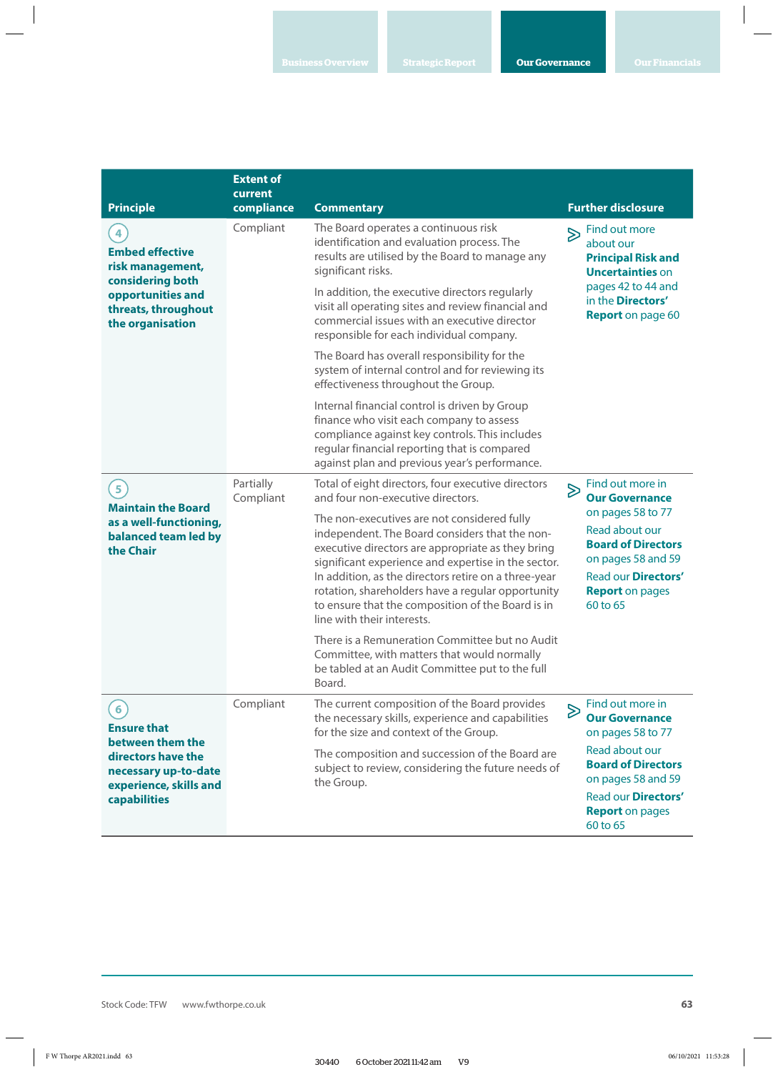| <b>Principle</b>                                                                                                                                 | <b>Extent of</b><br>current<br>compliance | <b>Commentary</b>                                                                                                                                                                                                                                                                                                                                                                                         |   | <b>Further disclosure</b>                                                                                                                                                                               |
|--------------------------------------------------------------------------------------------------------------------------------------------------|-------------------------------------------|-----------------------------------------------------------------------------------------------------------------------------------------------------------------------------------------------------------------------------------------------------------------------------------------------------------------------------------------------------------------------------------------------------------|---|---------------------------------------------------------------------------------------------------------------------------------------------------------------------------------------------------------|
| 4<br><b>Embed effective</b><br>risk management,<br>considering both<br>opportunities and<br>threats, throughout<br>the organisation              | Compliant                                 | The Board operates a continuous risk<br>identification and evaluation process. The<br>results are utilised by the Board to manage any<br>significant risks.                                                                                                                                                                                                                                               |   | > Find out more<br>about our<br><b>Principal Risk and</b><br><b>Uncertainties on</b><br>pages 42 to 44 and<br>in the <b>Directors'</b><br><b>Report</b> on page 60                                      |
|                                                                                                                                                  |                                           | In addition, the executive directors regularly<br>visit all operating sites and review financial and<br>commercial issues with an executive director<br>responsible for each individual company.                                                                                                                                                                                                          |   |                                                                                                                                                                                                         |
|                                                                                                                                                  |                                           | The Board has overall responsibility for the<br>system of internal control and for reviewing its<br>effectiveness throughout the Group.                                                                                                                                                                                                                                                                   |   |                                                                                                                                                                                                         |
|                                                                                                                                                  |                                           | Internal financial control is driven by Group<br>finance who visit each company to assess<br>compliance against key controls. This includes<br>regular financial reporting that is compared<br>against plan and previous year's performance.                                                                                                                                                              |   |                                                                                                                                                                                                         |
| $\overline{\mathbf{5}}$<br><b>Maintain the Board</b><br>as a well-functioning,<br>balanced team led by<br>the Chair                              | Partially<br>Compliant                    | Total of eight directors, four executive directors<br>and four non-executive directors.                                                                                                                                                                                                                                                                                                                   |   | $\sum$ Find out more in<br><b>Our Governance</b><br>on pages 58 to 77<br>Read about our<br><b>Board of Directors</b><br>on pages 58 and 59<br>Read our Directors'<br><b>Report</b> on pages<br>60 to 65 |
|                                                                                                                                                  |                                           | The non-executives are not considered fully<br>independent. The Board considers that the non-<br>executive directors are appropriate as they bring<br>significant experience and expertise in the sector.<br>In addition, as the directors retire on a three-year<br>rotation, shareholders have a regular opportunity<br>to ensure that the composition of the Board is in<br>line with their interests. |   |                                                                                                                                                                                                         |
|                                                                                                                                                  |                                           | There is a Remuneration Committee but no Audit<br>Committee, with matters that would normally<br>be tabled at an Audit Committee put to the full<br>Board.                                                                                                                                                                                                                                                |   |                                                                                                                                                                                                         |
| 6 <sup>2</sup><br><b>Ensure that</b><br>between them the<br>directors have the<br>necessary up-to-date<br>experience, skills and<br>capabilities | Compliant                                 | The current composition of the Board provides<br>the necessary skills, experience and capabilities<br>for the size and context of the Group.                                                                                                                                                                                                                                                              | ≫ | Find out more in<br><b>Our Governance</b><br>on pages 58 to 77                                                                                                                                          |
|                                                                                                                                                  |                                           | The composition and succession of the Board are<br>subject to review, considering the future needs of<br>the Group.                                                                                                                                                                                                                                                                                       |   | Read about our<br><b>Board of Directors</b><br>on pages 58 and 59<br><b>Read our Directors'</b><br><b>Report</b> on pages<br>60 to 65                                                                   |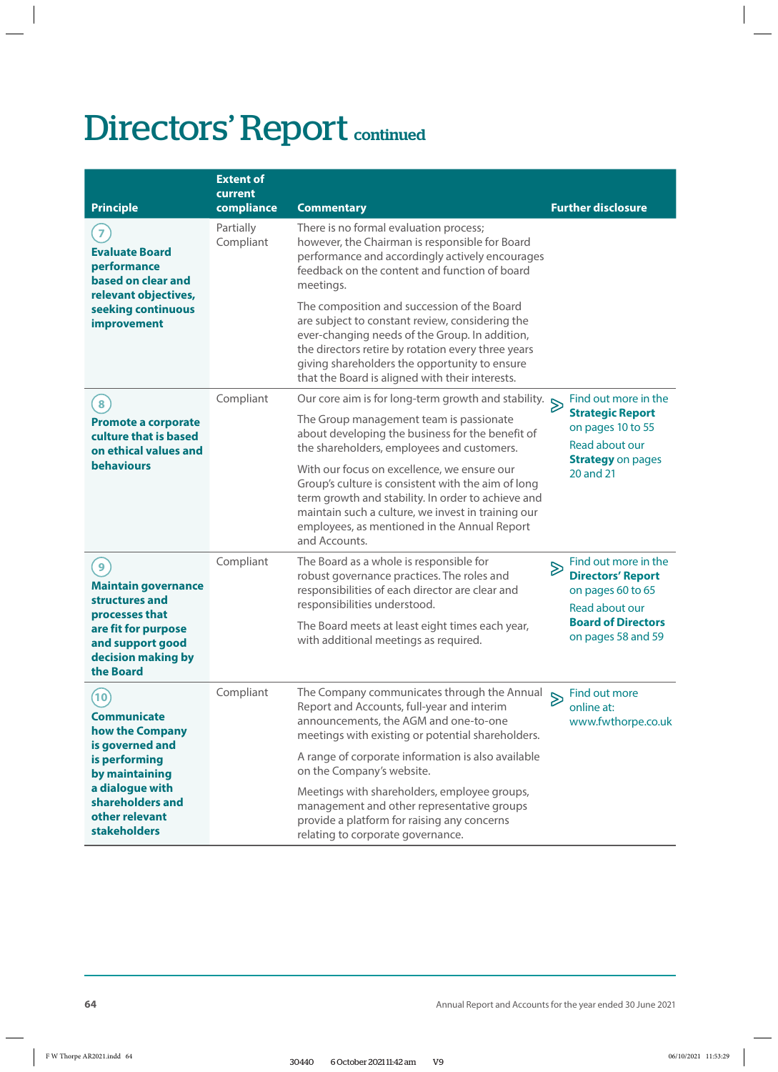# Directors' Report continued

| <b>Principle</b>                                                                                                                                                                    | <b>Extent of</b><br>current<br>compliance | <b>Commentary</b>                                                                                                                                                                                                                                                                                          |                  | <b>Further disclosure</b>                                                                                                                  |
|-------------------------------------------------------------------------------------------------------------------------------------------------------------------------------------|-------------------------------------------|------------------------------------------------------------------------------------------------------------------------------------------------------------------------------------------------------------------------------------------------------------------------------------------------------------|------------------|--------------------------------------------------------------------------------------------------------------------------------------------|
| $\overline{z}$<br><b>Evaluate Board</b><br>performance<br>based on clear and<br>relevant objectives,<br>seeking continuous<br>improvement                                           | Partially<br>Compliant                    | There is no formal evaluation process;<br>however, the Chairman is responsible for Board<br>performance and accordingly actively encourages<br>feedback on the content and function of board<br>meetings.                                                                                                  |                  |                                                                                                                                            |
|                                                                                                                                                                                     |                                           | The composition and succession of the Board<br>are subject to constant review, considering the<br>ever-changing needs of the Group. In addition,<br>the directors retire by rotation every three years<br>giving shareholders the opportunity to ensure<br>that the Board is aligned with their interests. |                  |                                                                                                                                            |
| 8                                                                                                                                                                                   | Compliant                                 | Our core aim is for long-term growth and stability. $\triangleright$                                                                                                                                                                                                                                       |                  | Find out more in the<br><b>Strategic Report</b><br>on pages 10 to 55<br>Read about our<br><b>Strategy on pages</b><br>20 and 21            |
| <b>Promote a corporate</b><br>culture that is based<br>on ethical values and<br><b>behaviours</b>                                                                                   |                                           | The Group management team is passionate<br>about developing the business for the benefit of<br>the shareholders, employees and customers.                                                                                                                                                                  |                  |                                                                                                                                            |
|                                                                                                                                                                                     |                                           | With our focus on excellence, we ensure our<br>Group's culture is consistent with the aim of long<br>term growth and stability. In order to achieve and<br>maintain such a culture, we invest in training our<br>employees, as mentioned in the Annual Report<br>and Accounts.                             |                  |                                                                                                                                            |
| 9 <sub>1</sub><br><b>Maintain governance</b><br>structures and<br>processes that<br>are fit for purpose<br>and support good<br>decision making by<br>the Board                      | Compliant                                 | The Board as a whole is responsible for<br>robust governance practices. The roles and<br>responsibilities of each director are clear and<br>responsibilities understood.                                                                                                                                   | $\triangleright$ | Find out more in the<br><b>Directors' Report</b><br>on pages 60 to 65<br>Read about our<br><b>Board of Directors</b><br>on pages 58 and 59 |
|                                                                                                                                                                                     |                                           | The Board meets at least eight times each year,<br>with additional meetings as required.                                                                                                                                                                                                                   |                  |                                                                                                                                            |
| (10)<br><b>Communicate</b><br>how the Company<br>is governed and<br>is performing<br>by maintaining<br>a dialogue with<br>shareholders and<br>other relevant<br><b>stakeholders</b> | Compliant                                 | The Company communicates through the Annual $\sum$ Find out more<br>Report and Accounts, full-year and interim<br>announcements, the AGM and one-to-one<br>meetings with existing or potential shareholders.                                                                                               |                  | online at:<br>www.fwthorpe.co.uk                                                                                                           |
|                                                                                                                                                                                     |                                           | A range of corporate information is also available<br>on the Company's website.                                                                                                                                                                                                                            |                  |                                                                                                                                            |
|                                                                                                                                                                                     |                                           | Meetings with shareholders, employee groups,<br>management and other representative groups<br>provide a platform for raising any concerns<br>relating to corporate governance.                                                                                                                             |                  |                                                                                                                                            |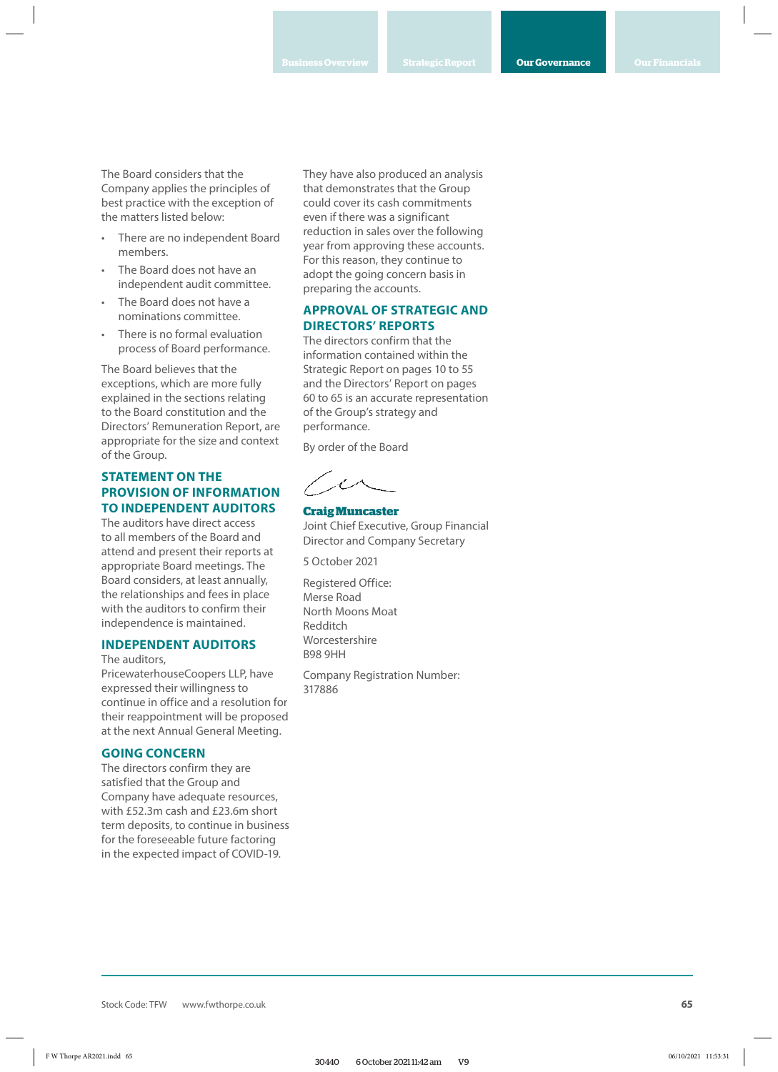The Board considers that the Company applies the principles of best practice with the exception of the matters listed below:

- There are no independent Board members.
- The Board does not have an independent audit committee.
- The Board does not have a nominations committee.
- There is no formal evaluation process of Board performance.

The Board believes that the exceptions, which are more fully explained in the sections relating to the Board constitution and the Directors' Remuneration Report, are appropriate for the size and context of the Group.

## **STATEMENT ON THE PROVISION OF INFORMATION TO INDEPENDENT AUDITORS**

The auditors have direct access to all members of the Board and attend and present their reports at appropriate Board meetings. The Board considers, at least annually, the relationships and fees in place with the auditors to confirm their independence is maintained.

### **INDEPENDENT AUDITORS**

The auditors,

PricewaterhouseCoopers LLP, have expressed their willingness to continue in office and a resolution for their reappointment will be proposed at the next Annual General Meeting.

#### **GOING CONCERN**

The directors confirm they are satisfied that the Group and Company have adequate resources, with £52.3m cash and £23.6m short term deposits, to continue in business for the foreseeable future factoring in the expected impact of COVID-19.

They have also produced an analysis that demonstrates that the Group could cover its cash commitments even if there was a significant reduction in sales over the following year from approving these accounts. For this reason, they continue to adopt the going concern basis in preparing the accounts.

## **APPROVAL OF STRATEGIC AND DIRECTORS' REPORTS**

The directors confirm that the information contained within the Strategic Report on pages 10 to 55 and the Directors' Report on pages 60 to 65 is an accurate representation of the Group's strategy and performance.

By order of the Board

**Craig Muncaster** Joint Chief Executive, Group Financial Director and Company Secretary

5 October 2021

Registered Office: Merse Road North Moons Moat Redditch Worcestershire B98 9HH

Company Registration Number: 317886